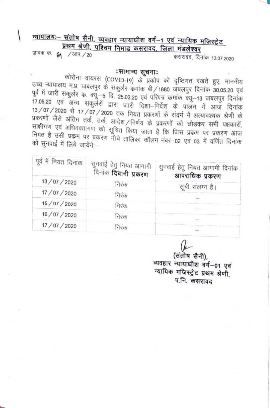## न्यायालयः- संतोष सैनी, व्यवहार न्यायाघीश वर्ग-1 एवं न्यायिक मजिस्ट्रेट प्रथम श्रेणी, पश्चिम निमाड कसरावद, जिला मंडलेश्वर

जावक के 61 /आप./20 कसरावद, दिनांक 13.07.2020

## ःसामान्य सूचनाःः

कोरोना वायरस (COVID-19) के प्रकोप को दृष्टिगत रखते हुए, माननीय उच्च न्यायालय म.प्र. जबलपुर के सकुर्लर कमांक बी/1880 जबलपुर दिनांक 30.05.20 एवं पूर्व में जारी सकुर्लर क. क्यू-5 दि. 25.03.20 एवं परिपत्र कमांक क्यू-13 जबलपुर दिनांक 17.05.20 एवं अन्य सकुर्लरों द्वारा जारी दिशा-निर्देश के पालन में आज दिनांक 13/07/2020 से 17/07/2020 तक नियत प्रकरणों के संदर्भ में अत्यावश्यक श्रेणी के प्रकरणों जैसे अंतिम तर्क, तर्क, आदेश/निर्णय के प्रकरणों को छोडकर सभी पक्षकारों, साक्षीगण एवं अधिवक्तागण को सूचित किया जाता है कि जिस प्रक्रम पर प्रकरण आज नियत है उसी प्रक्रम पर प्रकरण नीचे तालिका कॉलम नंबर-02 एवं 03 में वर्णित दिनांक को सुनवाई में लिये जायेंगे:--

| पूर्व में नियत दिनांक | सुनवाई हेतु नियत आगामी<br>-दिनांक <b>दिवानी प्रकरण</b> | सुनवाई हेतु नियत आगामी दिनांक<br>आपराधिक प्रकरण |
|-----------------------|--------------------------------------------------------|-------------------------------------------------|
| 13/07/2020            | निरंक                                                  | सूची संलग्न है।                                 |
| 17/07/2020            | निरक                                                   |                                                 |
| 15/07/2020            | निरंक                                                  |                                                 |
| 16/07/2020            | निरंक                                                  |                                                 |
| 17/07/2020            | निरक                                                   |                                                 |
|                       |                                                        |                                                 |

(संतोष सैनी), व्यवहार न्यायाधीश वर्ग-01 एवं न्यायिक मजिस्ट्रेट प्रथम श्रेणी, प.नि. कसरावद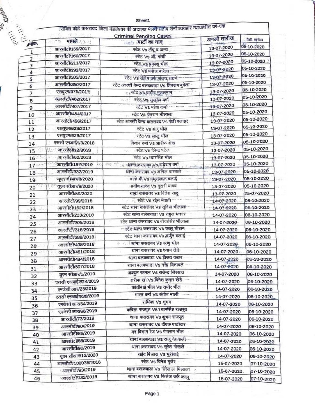| ٠<br>v<br>٠<br>٦ | п<br>٠<br>٦<br>s | ×<br>t, | œ<br>×<br>s |  |
|------------------|------------------|---------|-------------|--|

mar.

 $\kappa = 0$ 

|                         |                                               | सिविल कोर्ट कसरावद जिला मंडलेश्वर की अदालत में श्री संतोष सैनी व्यवहार न्यायाधीश वर्ग-एक |             |            |
|-------------------------|-----------------------------------------------|------------------------------------------------------------------------------------------|-------------|------------|
|                         |                                               |                                                                                          |             |            |
|                         | मामले २०२१                                    | <b>Criminal Pending Cases</b><br><u>न्हर</u> पार्टी का नाम                               | अगली तारीख  | पेशी सारीख |
| O CHARGE OF PRIVATE.    | आरसीटी/159/2017                               | स्टेट Vs टीपू व अन्य                                                                     | 13-07-2020  | 05-10-2020 |
|                         | आरसीटी/160/2017                               | स्टेट Vs जी, गांधी                                                                       | 13-07-2020  | 05-10-2020 |
| $\overline{\mathbf{c}}$ | आरसीटी/211/2017                               | स्टेट Vs प्रकाश भील                                                                      | 13-07-2020  | 05-10-2020 |
| 3                       | आरसीटी/292/2017                               | स्टेट Vs मनोज बारेला                                                                     | 13-07-2020  | 05-10-2020 |
| 4                       | आरसीटी/303/2017                               | स्टेट Vs संतोष उर्फ संजय साल्वे                                                          | 13-07-2020  | 05-10-2020 |
| 5                       | आरसीटी/350/2017                               | स्टेट आरबी केन्द्र बलकवाडा Vs शिवराम बुदेला                                              | 13-07-2020  | 05-10-2020 |
| 6                       | एसयुएम/375/2017                               | <sub>ि।</sub> स्टेट Vs वाहीद मुसलमान                                                     | 13-07-2020  | 05-10-2020 |
| 7                       | आरसीटी/402/2017                               | स्टेट Vs सुखदेव वर्मा<br>                                                                | 13-07-2020  | 05-10-2020 |
| 8                       | आरसीटी/407/2017                               | स्टेट Vs महेश कर्मा - - ----                                                             | 13-07-2020  | 05-10-2020 |
| 9                       | आरसीटी/454/2017                               |                                                                                          | 13-07-2020  | 05-10-2020 |
| 10                      | आरसीटी/496/2017                               | स्टेट Vs चेतराम भीलाला                                                                   | 13-07-2020  | 05-10-2020 |
| 11                      |                                               | स्टेट आरखी केन्द्र कसरावद Vs पंछी बलाइर्                                                 | 13-07-2020  | 05-10-2020 |
| 12                      | एसयुएम/628/2017                               | स्टेट Vs संजु भील                                                                        | 13-07-2020  | 05-10-2020 |
| 13                      | एसयुएम/629/2017<br>एससी एनआई <i>ए/3</i> /2018 | स्टेट Vs लालू भील                                                                        |             | 05-10-2020 |
| 14                      | आरसीटी/12/2018                                | किशन वर्मा Vs आरीफ शेख                                                                   | 13-07-2020  | 05-10-2020 |
| 15                      | आरसीटी/62/2018                                | स्टेट Vs देवेन्द्र पटेल                                                                  | 13-07-2020  | 05-10-2020 |
| 16 <sup>2</sup>         |                                               | स्टेट Vs प्यारसिंह भील                                                                   | 13-07-2020  | 05-10-2020 |
| $17 -$                  | आरसीटी/187/2019                               | लेख , 'डो इड्राइस्ट्राना कसरायद ,Vs, राघेराम वर्मा                                       | 13-07-2020  | 05-10-2020 |
| $18 -$                  | आरसीटी/332/2019                               | थाना कसरावद Vs अनिल वास्कले                                                              | 13-07-2020  |            |
| 19                      | यूएन सीआरा8/2020                              | बानो बी Vs मथुरालाल बलाई                                                                 | 13-07-2020  | 05-10-2020 |
| 20                      | यूएन सीआर/9/2020                              | -प्रवीण यादव Vs मुरारी यादव                                                              | 13-07-2020  | 05-10-2020 |
| 21                      | आरसीटी/59/2020                                | थाना कसरावद Vs नितेश साहू                                                                | 13-07-2020  | 25-07-2020 |
| 22                      | आरसीटी/99/2018                                | स्टेट Vs रईस मेवाती                                                                      | 14-07-2020- | 06-10-2020 |
| 23                      | आरसीटी/162/2018                               | स्टेट थाना कसरावद Vs सुनिल भीलाला                                                        | 14-07-2020  | 06-10-2020 |
| 24                      | आरसीटी/213/2018                               | स्टेट थाना बलकवाडा Vs राहुल धनगर                                                         | 14-07-2020  | 06-10-2020 |
| 25                      | आरसीटी/305/2018                               | स्टेट थाना कसरावद Vs बोदरसिंह भीलाला                                                     | 14-07-2020  | 06-10-2020 |
| 26                      | आरसीटी/316/2018                               | र्न्टेट थाना कसरावद Vs कालु चौहान                                                        | 14-07-2020  | 06-10-2020 |
| 27                      | आरसीटी/388/2018                               | स्टेट थाना कसरावद Vs अर्जुन बलाई                                                         | 14-07-2020  | 06-10-2020 |
| 28                      | आरसीटी/408/2018                               | ः  । थाना कसरावद Vs नत्थु भील                                                            | 14-07-2020  | 06-10-2020 |
| 29                      | आरसीटी/461/2018                               | थाना कसरावद Vs श्याम खेड़े                                                               | 14-07-2020- | 06-10-2020 |
| 30                      | आरसीटी/484/2018                               | थाना बलकवाडा Vs विजय कहार                                                                | 14-07-2020  | 06-10-2020 |
| 31                      | आरसीटी/507/2018                               | थाना बलकवाडा Vs नरेंद्र वितावले                                                          | 14-07-2020  | 06-10-2020 |
| 32                      | यूएन सीआर/1/2019                              | अब्दुल रहमान Vs राजेन्द्र सिरसाठ                                                         | 14-07-2020  | 06-10-2020 |
| 33                      | एससी एनआईए/24/2019                            | शरीफ खा Vs दिनेश कुमार खेडे                                                              | 14-07-2020  | 06-10-2020 |
| 34                      | एमजेसी आर/25/2019                             | कांतीबाई भील Vs समीर भील                                                                 | 14-07-2020  | 06-10-2020 |
| 35                      | एससी एनआईए/38/2019                            | भारत वर्मा Vs संतोष माली                                                                 | 14-07-2020  | 06-10-2020 |
| 36                      | एमजेसी आर/54/2019                             | राधिका Vs शुभम                                                                           | 14-07-2020  | 06-10-2020 |
| 37                      | एमजेसी आर/68/2019                             | कविता राजपुत Vs श्यामसिंह राजपुत                                                         | 14-07-2020  | 06-10-2020 |
| 38                      | आरसीटी/73/2019                                | थाना कसरावद Vs शुभम राजपूत                                                               | 14-07-2020  | 06-10-2020 |
|                         | आरसीटी/80/2019                                | थाना कसरावंद Vs दीपक पाटीदार                                                             | 14-07-2020  | 06-10-2020 |
| 39                      | आरसीटी/86/2019                                | क्न विभाग रेज Vs गंगाराम भील                                                             | 14-07-2020  | 06-10-2020 |
| 40                      | आरसीटी/88/2019                                | थाना बलकवाडा Vs राजू देशवाली                                                             | 14-07-2020  |            |
| 41                      | आरसीटी/90/2019                                | थाना कसरावद Vs सुरेश गोखले                                                               |             | 06-10-2020 |
| 42                      |                                               | सईद पिजारा Vs भुरीबाई                                                                    | 14-07-2020  | 06-10-2020 |
| 43                      | यूएन सीआर/13/2020                             | स्टेट Vs दिनेश गुर्जर                                                                    | 14-07-2020  | 06-10-2020 |
| 44                      | आरसीटी/100036/2016                            | थाना बलकवाडा Vs गोरेलाल भिलाला<br>ö                                                      | 15-07-2020  | 07-10-2020 |
| 45                      | आरसीटी/93/2019<br>आरसीटी/132/2019             | थाना कसरावद Vs फिरोज उर्फ कालू                                                           | 15-07-2020  | 07-10-2020 |

 $\frac{1}{2} \frac{d}{dt} \sum_{i=1}^n \frac{d}{dt} \frac{d}{dt} \frac{d}{dt} \frac{d}{dt} = \frac{1}{2} \sum_{i=1}^n \frac{d}{dt} \frac{d}{dt}$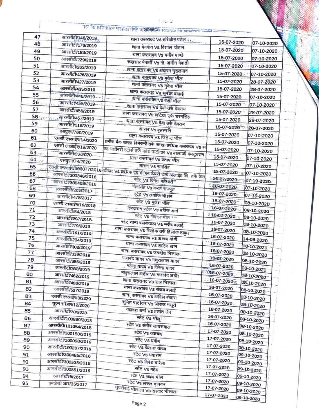|           |                     | 1.99.93<br>The operator of the state of the property the contract of the           |                                 |  |
|-----------|---------------------|------------------------------------------------------------------------------------|---------------------------------|--|
| 47        | आरसीटी/146/2019     |                                                                                    |                                 |  |
| 48        | आरसीटी/178/2019     | थाना कसरावद Vs हरिओम पटेल<br>थाना मेनगांव Vs विशाल चौहान                           | 15-07-2020<br>07-10-2020        |  |
| 49        | आरसीटी/183/2019     |                                                                                    | 15-07-2020<br>07-10-2020        |  |
| 50        | आरसीटी/229/2019     | थाना कसरावद Vs मनीष पाण्डे                                                         | 15-07-2020<br>07-10-2020        |  |
| 51        | आरसीटी/263/2019     | रूखसार मेवाती Vs मो. अमीन मेवाती                                                   | 15-07-2020<br>07-10-2020        |  |
| 52        | आरसीटी/426/2019     | थाना कुसरावद Vs अकरम मुसलमान                                                       | 15-07-2020.<br>07-10-2020       |  |
| 53        | आरसीटी/427/2019     | थाना कसरावद Vs मुकेश भील                                                           | 15-07-2020<br>28-07-2020        |  |
| 54        | आरसीटी/435/2019     | थाना करारावद Vs मुकेश भील                                                          | 15-07-2020<br>28-07-2020        |  |
| 55        | आरसीटी/446/2019 -   | शाना कसरावद Vs सुनील बलाई                                                          | 15-07-2020<br>07-10-2020        |  |
| 56        | आरसीटी/455/2019     | थानां कसरायद VS बंशी भील                                                           | 15-07-2020<br>07-10-2020        |  |
| 57        | आरसीटी/458/2019     | थाना कसरावद Vs देवा उर्क देवराम                                                    | 15-07-2020<br>28-07-2020        |  |
| $58 - 10$ | आरसीटी/457/2019     | थाना कसरावद Vs लटिया उर्फ घरमसिंह                                                  | 15-07-2020<br>28-07-2020        |  |
| 59        | आरसीटी/516/2019     | थाना कसरावद Vs देवा उर्फ देवराम                                                    | 15-07-2020                      |  |
| 60        | एसयुएम/760/2019     | शासन Vs बृहस्पति                                                                   | 28-07-2020<br>15-07-2020        |  |
| 61        | एससी एनआईए/14/2020  | थाना कसरावद Vs जितेन्द्र भील                                                       | 07-10-2020<br>15-07-2020        |  |
| 62        | एससी एनआईए/19/2020  | ग्रमीण बैंक शाखा निमरानी तर्फे शाखा प्रबंधक कसरावद Vs स                            | 07-10-2020                      |  |
| 63        | आरसीटी/33/2020      | .<br>प्र्ड मशीनरी स्टोर्स तर्फे महेश पाटीदार Vs बालाजी कंस्ट्रक्शन                 | 15-07-2020<br>07-10-2020        |  |
| 64        | : एसयुएम/74/2020    | थाना कसरावद Vs प्रताप भील                                                          | 15-07-2020<br>07-10-2020        |  |
| 65        |                     | शासन Vs रामसिंह                                                                    | 15-07-2020<br>07-10-2020        |  |
| 66        |                     | एससी एक्ज़ाईए 360077/2016 टीवार Vs प्रबंधक एवं बी एन डेयरी एपडे अलाईट लि. तर्फे जस | 15-07-2020<br>07-10-2020        |  |
| 67        | अस्सिटी/300408/2016 | स्टेट Vs दिनेश महेश्वरी ?                                                          | 16-07-2020<br>07-10-2020        |  |
| 68        | आरसीटी/202/2017     | मानसिंह Vs करण राजपुत                                                              | 16.07.2020<br>07-10-2020        |  |
| 69        | आरसीटी/478/2017     | स्टेट Vs अशोक चौहान                                                                | 16-07-2020<br>07-10-2020        |  |
| 70        | एससी एनआईए/16/2018  | स्टेट Vs मुकेश भील                                                                 | 16-07-2020<br>08-10-2020        |  |
| 71        | आरसीटी/64/2018      | हिस्दाराम पटेल Vs प्रतिक शर्मा                                                     | 16-07-2020<br>08-10-2020        |  |
| 72        | आरसीटी/397/2018     | स्टेट Vs गोपाल भील नन्म                                                            | $016 - 07 - 2020$<br>08-10-2020 |  |
| 73        | आरसीटी/79/2019      | स्टेट थाना बलकवाडा Vs म्नीब बलाई                                                   | 16-07-2020<br>08-10-2020        |  |
| 74        | आरसीटी/161/2019     | थाना कसरावद Vs त्रिलोक उर्फ तिलोक ठाकुर                                            | 16-07-2020<br>08-10-2020        |  |
| 75        | आरसीटी/204/2019     | थाना कसरावद Vs अरूण योगी                                                           | 16-07-2020<br>14-08-2020        |  |
| 76        | आरसीटी/302/2019'    | थाना कसरावद Vs शाहिद खान                                                           | 16-07-2020<br>08-10-2020        |  |
| 77        | आरसीटी/319/2019     | थाना कसरावद Vs जगदीश भिलाला                                                        | 16-07-2020<br>08-10-2020        |  |
| 78        | आरसीटी/386/2019     | गजानंद यादव Vs मधुरालाल यादव                                                       | 16-07-2020<br>08-10-2020        |  |
| 79        | आरसीटी/398/2019     | महेन्द्र यादव Vs विरेन्द्र यादव                                                    | 16-07-2020<br>08-10-2020        |  |
| 80        | आरसीटी/462/2019     | मथुरालाल अहीर Vs गजानंद अहीर                                                       | 1016-07-2020<br>08-10-2020      |  |
| 81        | आरसीटी/468/2019     | थाना कसरावद Vs राज भिलाला                                                          | 16-07-2020<br>08-10-2020        |  |
| 82        | आरसीटी/527/2019     | थाना कसरावद Vs संजय बलाई                                                           | 16-07-2020<br>08-10-2020        |  |
| 83        | एससी एनआईए/3/2020   | थाना कसरावद Vs अनिल बंजारा                                                         | 16-07-2020<br>08-10-2020        |  |
| 84        | यूएन सीआर/12/2020   | सुमित पाटीदार VS सिराज मसूरी                                                       | 16-07-2020<br>08-10-2020        |  |
| 85        | आरसीटी/20/2020      | यज्ञदत्त शर्मा Vs प्रशांत जैन                                                      | 16-07-2020<br>08-10-2020        |  |
| 86        | आरसीटी/100860/2015  | स्टेट Vs भीलू                                                                      | 16-07-2020<br>08-10-2020        |  |
| 87        | आरसीटी/101054/2015  | स्टेट Vs संतोष जायसवाल                                                             | 16-07-2020<br>08-10-2020        |  |
| 88        | आरसीटी/300150/2015  | स्टेट Vs दयाचंद                                                                    | 17-07-2020<br>08-10-2020        |  |
| 89        | आरसीटी/100098/2016  | स्टेट Vs प्रवीण                                                                    | 17-07-2020<br>08-10-2020        |  |
| 90        | आरसीटी/100207/2016  | स्टेट Vs कैलाश यादव                                                                | 17-07-2020<br>08-10-2020        |  |
| 91        | आरसीटी/300485/2016  | स्टेट Vs मयाराम                                                                    | 17-07-2020<br>09-10-2020        |  |
| 92        | आरसीटी/300535/2016  | स्टेट Vs दिनेश बारेला                                                              | 17-07-2020<br>09-10-2020        |  |
| 93        | आरसीटी/300551/2016  | स्टेट Vs महेश                                                                      | 17-07-2020<br>09-10-2020        |  |
| 94        | 3077                | <b>TCC Vs spm after</b>                                                            | 17-07-2020<br>$09 - 10 - 20$    |  |

आरसीटी/8/2017

एमजेसी आर/35/2017

94

 $95$ 

स्टेट Vs अवण भील

स्टेट Vs लखन मानकर

युवरीबाई भीलाला Vs सरदार भीलाला

09-10-2020

09-10-2020

09-10-2020

09-10-2020

17-07-2020

17-07-2020

17-07-2020